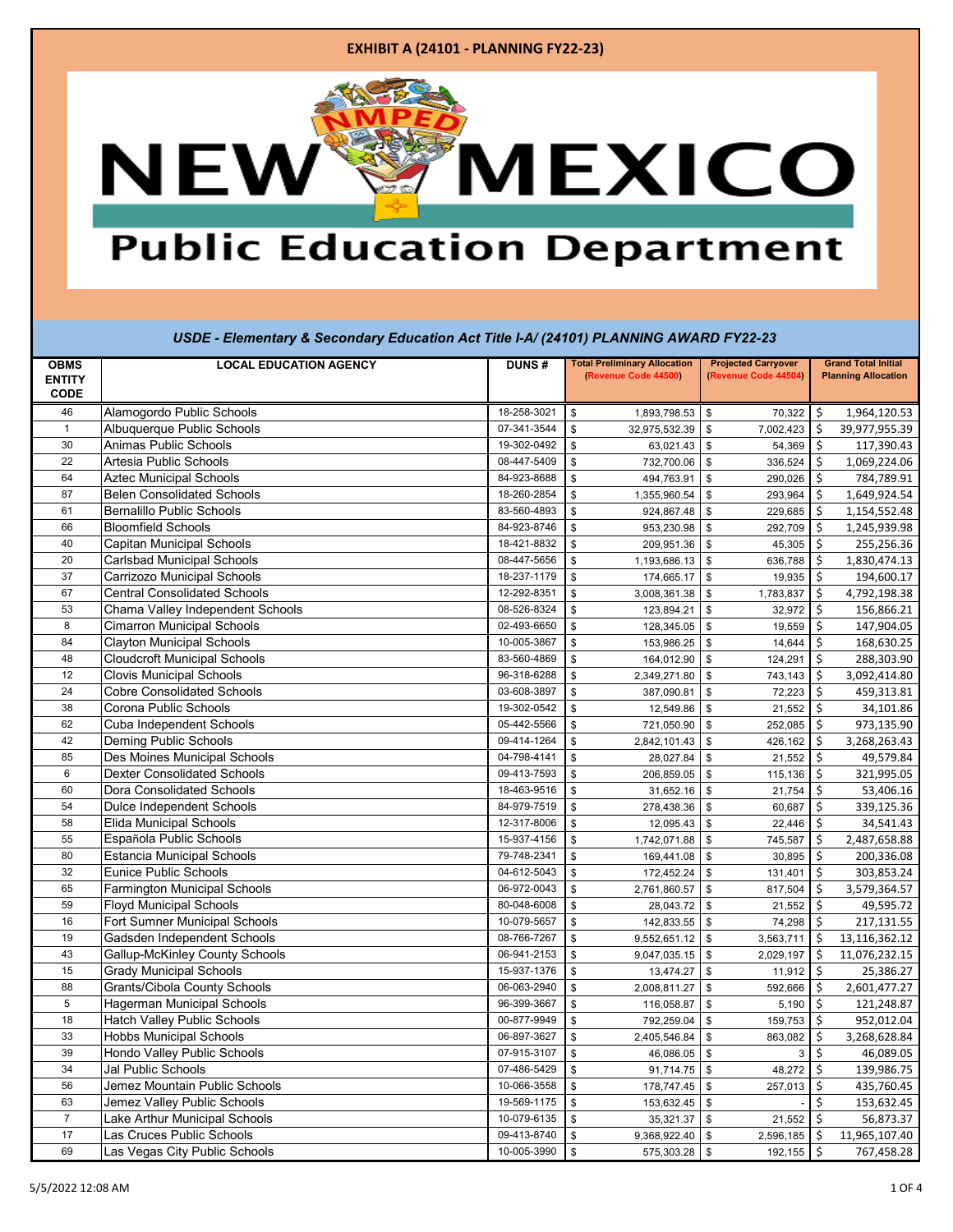#### **EXHIBIT A (24101 - PLANNING FY22-23)**

## MEXICO **NEW**

## **Public Education Department**

### *USDE - Elementary & Secondary Education Act Title I-A/ (24101) PLANNING AWARD FY22-23*

| <b>OBMS</b>     | <b>LOCAL EDUCATION AGENCY</b>                                       | <b>DUNS#</b>               | <b>Total Preliminary Allocation</b> | <b>Projected Carryover</b> | <b>Grand Total Initial</b>             |  |
|-----------------|---------------------------------------------------------------------|----------------------------|-------------------------------------|----------------------------|----------------------------------------|--|
| <b>ENTITY</b>   |                                                                     |                            | (Revenue Code 44500)                | (Revenue Code 44504)       | <b>Planning Allocation</b>             |  |
| <b>CODE</b>     |                                                                     |                            |                                     |                            |                                        |  |
| 46              | Alamogordo Public Schools                                           | 18-258-3021                | \$<br>1,893,798.53                  | \$<br>70,322               | \$<br>1,964,120.53                     |  |
| $\overline{1}$  | Albuquerque Public Schools                                          | 07-341-3544                | \$<br>32,975,532.39                 | \$<br>7,002,423            | $\zeta$<br>39,977,955.39               |  |
| 30<br>22        | Animas Public Schools                                               | 19-302-0492                | \$<br>63,021.43                     | $\mathbb S$<br>54,369      | 117,390.43<br>Ś.                       |  |
|                 | Artesia Public Schools                                              | 08-447-5409                | 732,700.06<br>\$                    | \$<br>336,524              | 1,069,224.06<br>\$                     |  |
| 64              | <b>Aztec Municipal Schools</b><br><b>Belen Consolidated Schools</b> | 84-923-8688                | 494,763.91<br>\$                    | \$<br>290,026<br>\$        | \$<br>784,789.91<br>1,649,924.54<br>Ś. |  |
| 87<br>61        | <b>Bernalillo Public Schools</b>                                    | 18-260-2854                | \$<br>1,355,960.54                  | 293,964                    |                                        |  |
| 66              | <b>Bloomfield Schools</b>                                           | 83-560-4893<br>84-923-8746 | \$<br>924,867.48<br>\$              | \$<br>229,685              | 1,154,552.48<br>Ś.                     |  |
| 40              | <b>Capitan Municipal Schools</b>                                    |                            | 953,230.98                          | \$<br>292,709<br>\$        | 1,245,939.98<br>\$                     |  |
| 20              | <b>Carlsbad Municipal Schools</b>                                   | 18-421-8832                | \$<br>209,951.36                    | 45,305                     | \$<br>255,256.36                       |  |
|                 | Carrizozo Municipal Schools                                         | 08-447-5656                | \$<br>1,193,686.13                  | \$<br>636,788              | \$<br>1,830,474.13                     |  |
| 37              | <b>Central Consolidated Schools</b>                                 | 18-237-1179                | \$<br>174,665.17                    | \$<br>19,935               | \$<br>194,600.17                       |  |
| 67              |                                                                     | 12-292-8351                | \$<br>3,008,361.38                  | $\mathbb{S}$<br>1,783,837  | \$<br>4,792,198.38                     |  |
| 53              | Chama Valley Independent Schools                                    | 08-526-8324                | \$<br>123,894.21                    | \$<br>32,972               | 156,866.21<br>\$                       |  |
| 8               | <b>Cimarron Municipal Schools</b>                                   | 02-493-6650                | \$<br>128,345.05                    | \$<br>19,559               | \$<br>147,904.05                       |  |
| 84              | <b>Clayton Municipal Schools</b>                                    | 10-005-3867                | \$<br>153,986.25                    | \$<br>14,644               | \$<br>168,630.25                       |  |
| 48              | <b>Cloudcroft Municipal Schools</b>                                 | 83-560-4869                | \$<br>164,012.90                    | $\mathfrak s$<br>124,291   | \$<br>288,303.90                       |  |
| 12              | <b>Clovis Municipal Schools</b>                                     | 96-318-6288                | \$<br>2,349,271.80                  | \$<br>743,143              | \$<br>3,092,414.80                     |  |
| 24              | <b>Cobre Consolidated Schools</b>                                   | 03-608-3897                | \$<br>387,090.81                    | \$<br>72,223               | Ś.<br>459,313.81                       |  |
| 38              | Corona Public Schools                                               | 19-302-0542                | \$<br>12,549.86                     | \$<br>21,552               | \$<br>34,101.86                        |  |
| 62              | Cuba Independent Schools                                            | 05-442-5566                | \$<br>721,050.90                    | \$<br>252,085              | 973,135.90<br>Ś.                       |  |
| 42              | Deming Public Schools                                               | 09-414-1264                | \$<br>2,842,101.43                  | \$<br>426,162              | \$<br>3,268,263.43                     |  |
| 85              | Des Moines Municipal Schools                                        | 04-798-4141                | \$<br>28,027.84                     | \$<br>21,552               | 49,579.84<br>\$                        |  |
| $6\phantom{1}6$ | <b>Dexter Consolidated Schools</b>                                  | 09-413-7593                | \$<br>206,859.05                    | \$<br>115,136              | \$<br>321,995.05                       |  |
| 60              | <b>Dora Consolidated Schools</b>                                    | 18-463-9516                | \$<br>31,652.16                     | 21,754<br>\$               | Ś.<br>53,406.16                        |  |
| 54              | <b>Dulce Independent Schools</b>                                    | 84-979-7519                | \$<br>278,438.36                    | \$<br>60,687               | 339,125.36<br>\$                       |  |
| 58              | Elida Municipal Schools                                             | 12-317-8006                | 12,095.43<br>\$                     | \$<br>22,446               | Ś.<br>34,541.43                        |  |
| 55              | Española Public Schools                                             | 15-937-4156                | \$<br>1,742,071.88                  | \$<br>745,587              | 2,487,658.88<br>\$                     |  |
| 80              | <b>Estancia Municipal Schools</b>                                   | 79-748-2341                | \$<br>169,441.08                    | \$<br>30,895               | Ś<br>200,336.08                        |  |
| 32              | <b>Eunice Public Schools</b>                                        | 04-612-5043                | 172,452.24<br>\$                    | \$<br>131,401              | 303,853.24<br>\$                       |  |
| 65              | Farmington Municipal Schools                                        | 06-972-0043                | \$<br>2,761,860.57                  | \$<br>817,504              | \$<br>3,579,364.57                     |  |
| 59              | <b>Floyd Municipal Schools</b>                                      | 80-048-6008                | \$<br>28,043.72                     | \$<br>21,552               | 49,595.72<br>\$                        |  |
| 16              | <b>Fort Sumner Municipal Schools</b>                                | 10-079-5657                | \$<br>142,833.55                    | \$<br>74,298               | 217,131.55<br>Ś.                       |  |
| 19              | Gadsden Independent Schools                                         | 08-766-7267                | \$<br>9,552,651.12                  | \$<br>3,563,711            | \$<br>13,116,362.12                    |  |
| 43              | Gallup-McKinley County Schools                                      | 06-941-2153                | \$<br>9,047,035.15                  | \$<br>2,029,197            | \$<br>11,076,232.15                    |  |
| 15              | <b>Grady Municipal Schools</b>                                      | 15-937-1376                | \$<br>13,474.27                     | \$<br>11,912               | \$<br>25,386.27                        |  |
| 88              | Grants/Cibola County Schools                                        | 06-063-2940                | \$<br>2,008,811.27                  | \$<br>592,666              | 2,601,477.27<br>\$                     |  |
| $\overline{5}$  | <b>Hagerman Municipal Schools</b>                                   | 96-399-3667                | \$<br>116,058.87                    | \$<br>5,190                | 121,248.87<br>\$                       |  |
| 18              | <b>Hatch Valley Public Schools</b>                                  | 00-877-9949                | \$<br>792,259.04                    | \$<br>159,753              | 952,012.04<br>\$                       |  |
| 33              | <b>Hobbs Municipal Schools</b>                                      | 06-897-3627                | \$<br>2,405,546.84                  | \$<br>863,082              | \$<br>3,268,628.84                     |  |
| 39              | Hondo Valley Public Schools                                         | 07-915-3107                | \$<br>46,086.05                     | \$<br>3                    | \$<br>46,089.05                        |  |
| 34              | <b>Jal Public Schools</b>                                           | 07-486-5429                | \$<br>91,714.75                     | $\sqrt{3}$<br>48,272       | \$<br>139,986.75                       |  |
| 56              | Jemez Mountain Public Schools                                       | 10-066-3558                | $\mathbf{\hat{s}}$<br>178,747.45    | $\sqrt{3}$<br>257,013      | \$<br>435,760.45                       |  |
| 63              | Jemez Valley Public Schools                                         | 19-569-1175                | \$<br>153,632.45                    | $\mathfrak s$              | Ś.<br>153,632.45                       |  |
| $\overline{7}$  | Lake Arthur Municipal Schools                                       | 10-079-6135                | \$<br>35,321.37                     | \$<br>21,552               | \$<br>56,873.37                        |  |
| 17              | Las Cruces Public Schools                                           | 09-413-8740                | \$<br>9,368,922.40                  | \$<br>2,596,185            | \$<br>11,965,107.40                    |  |
| 69              | Las Vegas City Public Schools                                       | 10-005-3990                | \$<br>575,303.28 \$                 | 192,155                    | \$<br>767,458.28                       |  |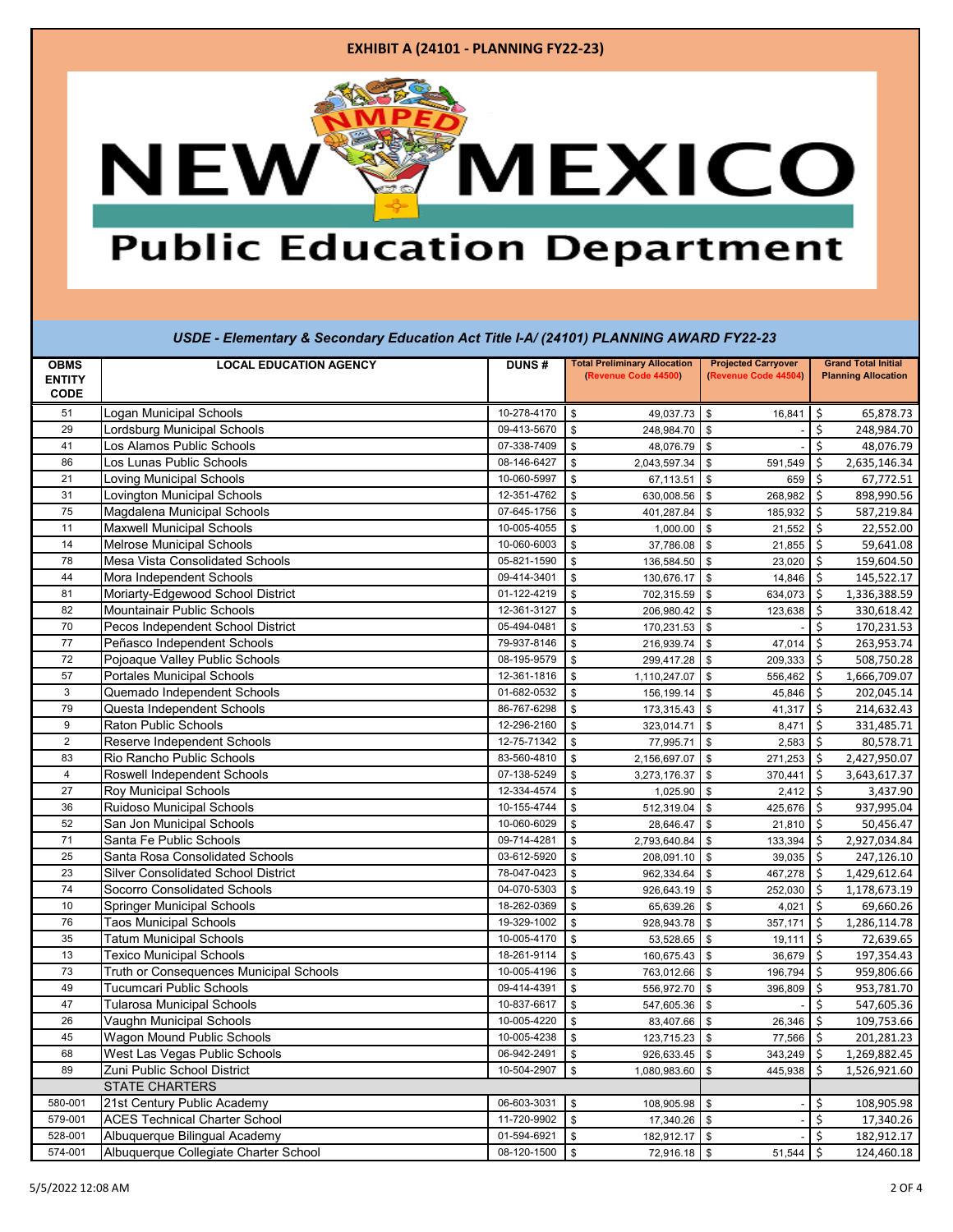### **EXHIBIT A (24101 - PLANNING FY22-23)**

# **MEXICO NEW**

### **Public Education Department**

### *USDE - Elementary & Secondary Education Act Title I-A/ (24101) PLANNING AWARD FY22-23*

| <b>OBMS</b><br><b>ENTITY</b><br><b>CODE</b> | <b>LOCAL EDUCATION AGENCY</b>              | <b>DUNS#</b> | <b>Total Preliminary Allocation</b><br>(Revenue Code 44500) | <b>Projected Carryover</b><br>(Revenue Code 44504) | <b>Grand Total Initial</b><br><b>Planning Allocation</b> |  |
|---------------------------------------------|--------------------------------------------|--------------|-------------------------------------------------------------|----------------------------------------------------|----------------------------------------------------------|--|
| 51                                          | Logan Municipal Schools                    | 10-278-4170  | $\mathsf{\$}$<br>49,037.73 \$                               | 16,841                                             | 65,878.73<br>\$                                          |  |
| 29                                          | Lordsburg Municipal Schools                | 09-413-5670  | $\mathbf{\hat{s}}$<br>248,984.70                            | $\mathbf{\$}$                                      | Ś<br>248,984.70                                          |  |
| 41                                          | Los Alamos Public Schools                  | 07-338-7409  | $\mathsf{\$}$<br>48,076.79                                  | $\mathsf{\$}$                                      | Ś<br>48,076.79                                           |  |
| 86                                          | Los Lunas Public Schools                   | 08-146-6427  | \$<br>2,043,597.34                                          | \$<br>591,549                                      | \$<br>2,635,146.34                                       |  |
| 21                                          | Loving Municipal Schools                   | 10-060-5997  | \$<br>67,113.51                                             | \$<br>659                                          | \$<br>67,772.51                                          |  |
| 31                                          | Lovington Municipal Schools                | 12-351-4762  | \$<br>630,008.56                                            | \$<br>268,982                                      | \$<br>898,990.56                                         |  |
| 75                                          | Magdalena Municipal Schools                | 07-645-1756  | \$<br>401,287.84                                            | \$<br>185,932                                      | 587,219.84<br>\$                                         |  |
| 11                                          | <b>Maxwell Municipal Schools</b>           | 10-005-4055  | \$<br>1,000.00                                              | \$<br>21,552                                       | 22,552.00<br>\$                                          |  |
| 14                                          | Melrose Municipal Schools                  | 10-060-6003  | 37,786.08<br>\$                                             | \$<br>21,855                                       | 59,641.08<br>\$                                          |  |
| 78                                          | Mesa Vista Consolidated Schools            | 05-821-1590  | \$<br>136,584.50                                            | $\mathfrak s$<br>23,020                            | 159,604.50<br>\$                                         |  |
| 44                                          | Mora Independent Schools                   | 09-414-3401  | \$<br>130,676.17                                            | \$<br>14,846                                       | 145,522.17<br>\$                                         |  |
| 81                                          | Moriarty-Edgewood School District          | 01-122-4219  | \$<br>702,315.59                                            | \$<br>634,073                                      | 1,336,388.59<br>-\$                                      |  |
| 82                                          | Mountainair Public Schools                 | 12-361-3127  | \$<br>206,980.42                                            | \$<br>123,638                                      | 330,618.42<br>\$                                         |  |
| 70                                          | Pecos Independent School District          | 05-494-0481  | \$<br>170,231.53 \$                                         |                                                    | 170,231.53<br>\$                                         |  |
| 77                                          | Peñasco Independent Schools                | 79-937-8146  | \$<br>216,939.74                                            | $\mathfrak s$<br>47,014                            | 263,953.74<br>\$                                         |  |
| 72                                          | Pojoaque Valley Public Schools             | 08-195-9579  | $\mathsf{\$}$<br>299,417.28                                 | $\mathfrak s$<br>209,333                           | 508,750.28<br>Ŝ.                                         |  |
| 57                                          | <b>Portales Municipal Schools</b>          | 12-361-1816  | $\mathsf{\$}$<br>1,110,247.07                               | $\mathbb{S}$<br>556,462                            | 1,666,709.07<br>\$                                       |  |
| 3                                           | Quemado Independent Schools                | 01-682-0532  | \$<br>156,199.14                                            | $\mathsf{\$}$<br>45,846                            | $\zeta$<br>202,045.14                                    |  |
| 79                                          | Questa Independent Schools                 | 86-767-6298  | \$<br>173,315.43                                            | \$<br>41,317                                       | 214,632.43<br>\$                                         |  |
| 9                                           | <b>Raton Public Schools</b>                | 12-296-2160  | \$<br>323,014.71                                            | $\mathsf{\$}$<br>8,471                             | 331,485.71<br>\$                                         |  |
| $\overline{2}$                              | Reserve Independent Schools                | 12-75-71342  | \$<br>77,995.71                                             | \$<br>2,583                                        | 80,578.71<br>\$                                          |  |
| 83                                          | Rio Rancho Public Schools                  | 83-560-4810  | $\mathbf{\hat{s}}$<br>2,156,697.07                          | $\mathfrak s$<br>271,253                           | 2,427,950.07<br>Ŝ.                                       |  |
| $\overline{4}$                              | Roswell Independent Schools                | 07-138-5249  | 3,273,176.37<br>\$                                          | 370,441<br>$\mathbb{S}$                            | 3,643,617.37<br>Ś.                                       |  |
| 27                                          | Roy Municipal Schools                      | 12-334-4574  | \$<br>1,025.90                                              | 2,412<br>$\mathbb{S}$                              | 3,437.90<br>\$                                           |  |
| 36                                          | Ruidoso Municipal Schools                  | 10-155-4744  | \$<br>512,319.04                                            | \$<br>425,676                                      | 937,995.04<br>Ŝ.                                         |  |
| 52                                          | San Jon Municipal Schools                  | 10-060-6029  | \$<br>28,646.47                                             | \$<br>21,810                                       | 50,456.47<br>\$                                          |  |
| 71                                          | Santa Fe Public Schools                    | 09-714-4281  | \$<br>2,793,640.84                                          | \$<br>133,394                                      | 2,927,034.84<br>\$                                       |  |
| 25                                          | Santa Rosa Consolidated Schools            | 03-612-5920  | \$<br>208,091.10                                            | \$<br>39,035                                       | \$<br>247,126.10                                         |  |
| 23                                          | <b>Silver Consolidated School District</b> | 78-047-0423  | \$<br>962,334.64                                            | 467,278<br>\$                                      | \$<br>1,429,612.64                                       |  |
| 74                                          | Socorro Consolidated Schools               | 04-070-5303  | \$<br>926,643.19                                            | \$<br>252,030                                      | 1,178,673.19<br>\$                                       |  |
| 10                                          | <b>Springer Municipal Schools</b>          | 18-262-0369  | \$<br>65,639.26                                             | \$<br>4,021                                        | \$<br>69,660.26                                          |  |
| 76                                          | <b>Taos Municipal Schools</b>              | 19-329-1002  | \$<br>928,943.78                                            | \$<br>357,171                                      | \$<br>1,286,114.78                                       |  |
| 35                                          | <b>Tatum Municipal Schools</b>             | 10-005-4170  | \$<br>53,528.65                                             | \$<br>19,111                                       | \$<br>72,639.65                                          |  |
| 13                                          | <b>Texico Municipal Schools</b>            | 18-261-9114  | \$<br>160,675.43                                            | $\mathfrak s$<br>36,679                            | 197,354.43<br>\$                                         |  |
| 73                                          | Truth or Consequences Municipal Schools    | 10-005-4196  | \$<br>763,012.66                                            | $\mathfrak s$<br>196,794                           | \$<br>959,806.66                                         |  |
| 49                                          | Tucumcari Public Schools                   | 09-414-4391  | 556,972.70<br>\$                                            | \$<br>396,809                                      | \$<br>953,781.70                                         |  |
| 47                                          | <b>Tularosa Municipal Schools</b>          | 10-837-6617  | \$<br>547,605.36                                            | $\mathfrak s$                                      | \$<br>547,605.36                                         |  |
| 26                                          | Vaughn Municipal Schools                   | 10-005-4220  | \$<br>83,407.66                                             | \$<br>26,346                                       | 109,753.66<br>\$                                         |  |
| 45                                          | Wagon Mound Public Schools                 | 10-005-4238  | 123,715.23<br>\$                                            | \$<br>77,566                                       | 201,281.23<br>-\$                                        |  |
| 68                                          | West Las Vegas Public Schools              | 06-942-2491  | \$<br>926,633.45                                            | \$<br>343,249                                      | 1,269,882.45<br>\$                                       |  |
| 89                                          | Zuni Public School District                | 10-504-2907  | \$<br>1,080,983.60                                          | \$<br>445,938                                      | \$<br>1,526,921.60                                       |  |
|                                             | <b>STATE CHARTERS</b>                      |              |                                                             |                                                    |                                                          |  |
| 580-001                                     | 21st Century Public Academy                | 06-603-3031  | \$<br>108,905.98                                            | \$                                                 | \$<br>108,905.98                                         |  |
| 579-001                                     | <b>ACES Technical Charter School</b>       | 11-720-9902  | \$<br>17,340.26                                             | $\mathbb{S}$                                       | \$<br>17,340.26                                          |  |
| 528-001                                     | Albuquerque Bilingual Academy              | 01-594-6921  | \$<br>182,912.17                                            | $\mathfrak s$                                      | \$<br>182,912.17                                         |  |
| 574-001                                     | Albuquerque Collegiate Charter School      | 08-120-1500  | $\mathfrak s$<br>72,916.18                                  | $$\mathbb{S}$$<br>51,544                           | \$<br>124,460.18                                         |  |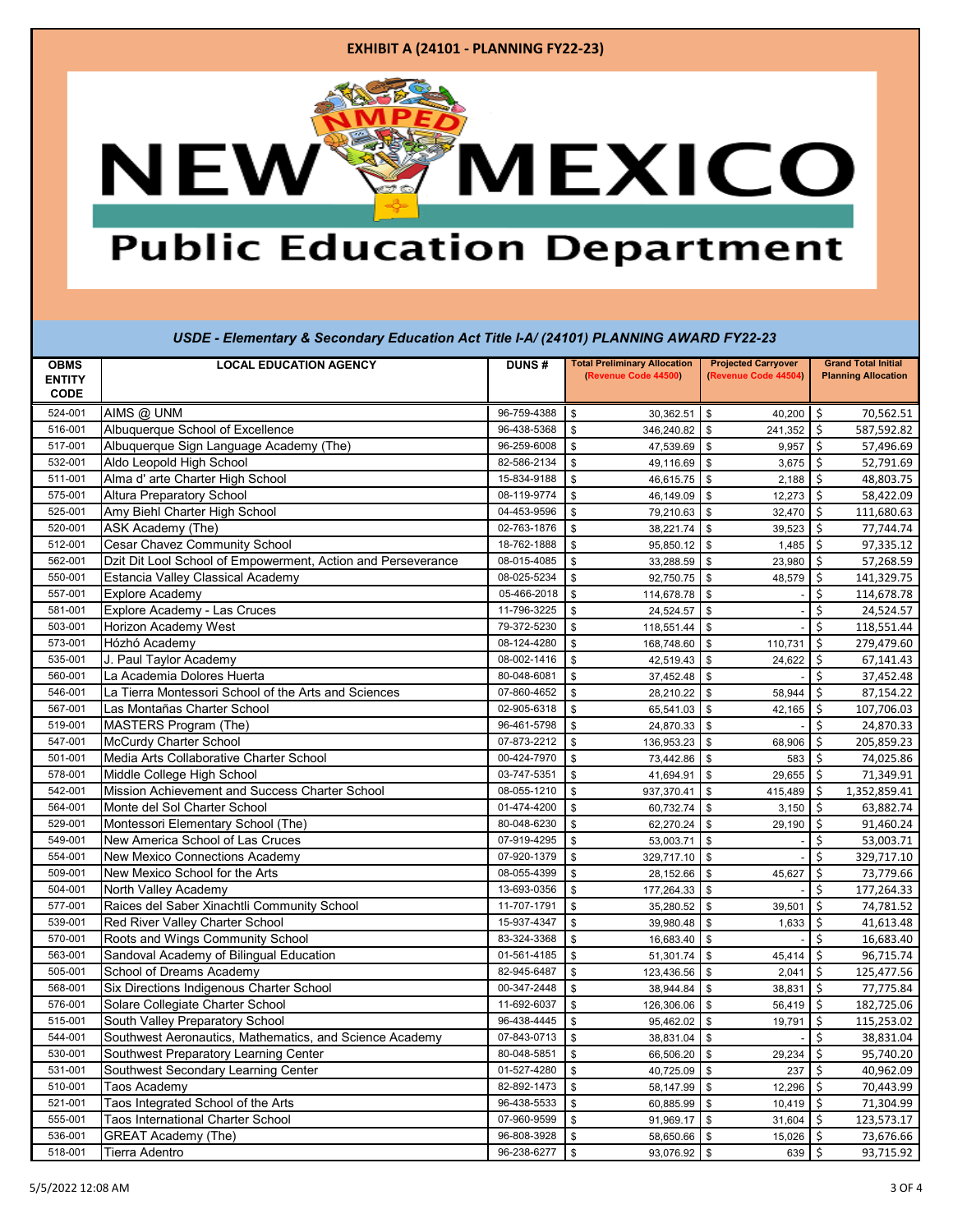### **EXHIBIT A (24101 - PLANNING FY22-23)**

## **AMEXICO NEW**

### **Public Education Department**

|               | $\sim$ Exemption $\mathbf{y}$ of occorrectly Equoditon from the $\mathbf{r}$ (Equotion |              |                                     |                            |                            |  |  |
|---------------|----------------------------------------------------------------------------------------|--------------|-------------------------------------|----------------------------|----------------------------|--|--|
| <b>OBMS</b>   | <b>LOCAL EDUCATION AGENCY</b>                                                          | <b>DUNS#</b> | <b>Total Preliminary Allocation</b> | <b>Projected Carryover</b> | <b>Grand Total Initial</b> |  |  |
| <b>ENTITY</b> |                                                                                        |              | (Revenue Code 44500)                | (Revenue Code 44504)       | <b>Planning Allocation</b> |  |  |
| <b>CODE</b>   |                                                                                        |              |                                     |                            |                            |  |  |
| 524-001       | AIMS @ UNM                                                                             | 96-759-4388  | \$<br>30,362.51                     | \$<br>40,200               | \$<br>70,562.51            |  |  |
| 516-001       | Albuquerque School of Excellence                                                       | 96-438-5368  | \$<br>346,240.82                    | \$<br>241,352              | \$<br>587,592.82           |  |  |
| 517-001       | Albuquerque Sign Language Academy (The)                                                | 96-259-6008  | \$<br>47,539.69                     | $\mathbb{S}$<br>9,957      | \$<br>57,496.69            |  |  |
| 532-001       | Aldo Leopold High School                                                               | 82-586-2134  | \$<br>49,116.69                     | \$<br>3,675                | 52,791.69<br>\$            |  |  |
| 511-001       | Alma d' arte Charter High School                                                       | 15-834-9188  | \$<br>46,615.75                     | $\mathsf{\$}$<br>2,188     | Ś.<br>48,803.75            |  |  |
| 575-001       | <b>Altura Preparatory School</b>                                                       | 08-119-9774  | \$<br>46,149.09                     | \$<br>12,273               | 58,422.09<br>\$            |  |  |
| 525-001       | Amy Biehl Charter High School                                                          | 04-453-9596  | \$<br>79,210.63                     | $\mathbb{S}$<br>32,470     | \$<br>111,680.63           |  |  |
| 520-001       | ASK Academy (The)                                                                      | 02-763-1876  | \$<br>38,221.74                     | $\mathsf{\$}$<br>39,523    | Ś.<br>77,744.74            |  |  |
| 512-001       | <b>Cesar Chavez Community School</b>                                                   | 18-762-1888  | \$<br>95,850.12                     | $\mathbb{S}$<br>1,485      | \$<br>97,335.12            |  |  |
| 562-001       | Dzit Dit Lool School of Empowerment, Action and Perseverance                           | 08-015-4085  | \$<br>33,288.59                     | \$<br>23,980               | 57,268.59<br>Ś             |  |  |
| 550-001       | Estancia Valley Classical Academy                                                      | 08-025-5234  | \$<br>92,750.75                     | $\mathsf{\$}$<br>48,579    | \$<br>141,329.75           |  |  |
| 557-001       | <b>Explore Academy</b>                                                                 | 05-466-2018  | \$<br>114,678.78                    | $\mathbf{\$}$              | \$<br>114,678.78           |  |  |
| 581-001       | Explore Academy - Las Cruces                                                           | 11-796-3225  | \$<br>24,524.57                     | \$                         | \$<br>24,524.57            |  |  |
| 503-001       | <b>Horizon Academy West</b>                                                            | 79-372-5230  | \$<br>118,551.44                    | \$                         | \$<br>118,551.44           |  |  |
| 573-001       | Hózhó Academy                                                                          | 08-124-4280  | \$<br>168,748.60                    | \$<br>110,731              | \$<br>279,479.60           |  |  |
| 535-001       | J. Paul Taylor Academy                                                                 | 08-002-1416  | \$<br>42,519.43                     | $\mathsf{\$}$<br>24,622    | \$<br>67,141.43            |  |  |
| 560-001       | La Academia Dolores Huerta                                                             | 80-048-6081  | \$<br>37,452.48                     | \$                         | \$<br>37,452.48            |  |  |
| 546-001       | La Tierra Montessori School of the Arts and Sciences                                   | 07-860-4652  | \$<br>28,210.22                     | \$<br>58,944               | \$<br>87,154.22            |  |  |
| 567-001       | Las Montañas Charter School                                                            | 02-905-6318  | \$<br>65,541.03                     | \$<br>42,165               | \$<br>107,706.03           |  |  |
| 519-001       | <b>MASTERS Program (The)</b>                                                           | 96-461-5798  | \$<br>24,870.33                     | \$                         | \$<br>24,870.33            |  |  |
| 547-001       | McCurdy Charter School                                                                 | 07-873-2212  | \$<br>136,953.23                    | \$<br>68,906               | \$<br>205,859.23           |  |  |
| 501-001       | Media Arts Collaborative Charter School                                                | 00-424-7970  | \$<br>73,442.86                     | \$<br>583                  | \$<br>74,025.86            |  |  |
| 578-001       | Middle College High School                                                             | 03-747-5351  | \$<br>41,694.91                     | \$<br>29,655               | \$<br>71,349.91            |  |  |
| 542-001       | Mission Achievement and Success Charter School                                         | 08-055-1210  | \$<br>937,370.41                    | \$<br>415,489              | 1,352,859.41<br>Ś          |  |  |
| 564-001       | Monte del Sol Charter School                                                           | 01-474-4200  | \$<br>60,732.74                     | \$<br>3,150                | \$<br>63,882.74            |  |  |
| 529-001       | Montessori Elementary School (The)                                                     | 80-048-6230  | \$<br>62,270.24                     | \$<br>29,190               | \$<br>91,460.24            |  |  |
| 549-001       | New America School of Las Cruces                                                       | 07-919-4295  | \$<br>53,003.71                     | \$                         | \$<br>53,003.71            |  |  |
| 554-001       | New Mexico Connections Academy                                                         | 07-920-1379  | \$<br>329,717.10                    | \$                         | \$<br>329,717.10           |  |  |
| 509-001       | New Mexico School for the Arts                                                         | 08-055-4399  | \$<br>28,152.66                     | $\mathsf{\$}$<br>45,627    | \$<br>73,779.66            |  |  |
| 504-001       | North Valley Academy                                                                   | 13-693-0356  | \$<br>177,264.33                    | \$                         | 177,264.33<br>\$           |  |  |
| 577-001       | Raices del Saber Xinachtli Community School                                            | 11-707-1791  | \$<br>35,280.52                     | \$<br>39,501               | \$<br>74,781.52            |  |  |
| 539-001       | Red River Valley Charter School                                                        | 15-937-4347  | \$<br>39,980.48                     | \$<br>1,633                | \$<br>41,613.48            |  |  |
| 570-001       | Roots and Wings Community School                                                       | 83-324-3368  | \$<br>16,683.40                     | \$                         | \$<br>16,683.40            |  |  |
| 563-001       | Sandoval Academy of Bilingual Education                                                | 01-561-4185  | \$<br>51,301.74                     | $\mathbb{S}$<br>45,414     | 96,715.74<br>\$            |  |  |
| 505-001       | School of Dreams Academy                                                               | 82-945-6487  | \$<br>123,436.56                    | \$<br>2,041                | Ś<br>125,477.56            |  |  |
| 568-001       | Six Directions Indigenous Charter School                                               | 00-347-2448  | \$<br>38,944.84                     | \$<br>38,831               | 77,775.84<br>\$            |  |  |
| 576-001       | Solare Collegiate Charter School                                                       | 11-692-6037  | \$<br>126,306.06                    | \$<br>56,419               | 182,725.06<br>\$           |  |  |
| 515-001       | South Valley Preparatory School                                                        | 96-438-4445  | \$<br>95,462.02                     | \$<br>19,791               | \$<br>115,253.02           |  |  |
| 544-001       | Southwest Aeronautics, Mathematics, and Science Academy                                | 07-843-0713  | \$<br>38,831.04                     | \$                         | \$<br>38,831.04            |  |  |
| 530-001       | Southwest Preparatory Learning Center                                                  | 80-048-5851  | \$<br>66,506.20                     | \$<br>29,234               | \$<br>95,740.20            |  |  |
| 531-001       | Southwest Secondary Learning Center                                                    | 01-527-4280  | \$<br>40,725.09                     | \$<br>237                  | 40,962.09<br>\$            |  |  |
| 510-001       | Taos Academy                                                                           | 82-892-1473  | $\mathbf{s}$<br>58,147.99 \$        | 12,296                     | -\$<br>70,443.99           |  |  |
|               |                                                                                        |              |                                     |                            |                            |  |  |

510-001 |Taos Academy 82-892-1473 |\$ 58,147.99 | \$ 12,296 | \$ 70,443.99 521-001 Taos Integrated School of the Arts 60,885.99 \$ 60,885.99 \$ 10,419 \$ 71,304.99 555-001 Taos International Charter School 07-960-9599 \$ 91,969.17 \$ 31,604 \$ 123,573.17 536-001 GREAT Academy (The) 96-808-3928 \$ 58,650.66 \$ 15,026 \$ 73,676.66 518-001 Tierra Adentro 96-238-6277 \$ 93,076.92 \$ 639 \$ 93,715.92

*USDE - Elementary & Secondary Education Act Title I-A/ (24101) PLANNING AWARD FY22-23*